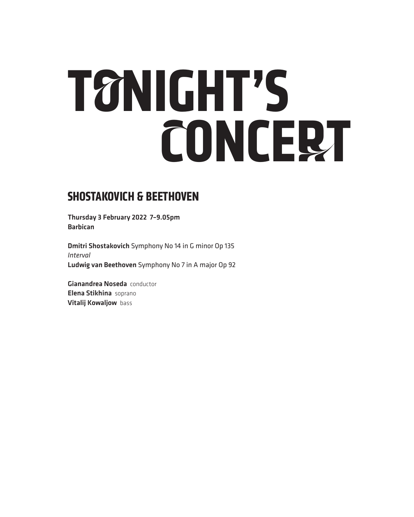# **TONIGHT'S CONCERT**

### **SHOSTAKOVICH & BEETHOVEN**

Thursday 3 February 2022 7–9.05pm Barbican

Dmitri Shostakovich Symphony No 14 in G minor Op 135 *Interval* Ludwig van Beethoven Symphony No 7 in A major Op 92

Gianandrea Noseda conductor Elena Stikhina soprano Vitalij Kowaljow bass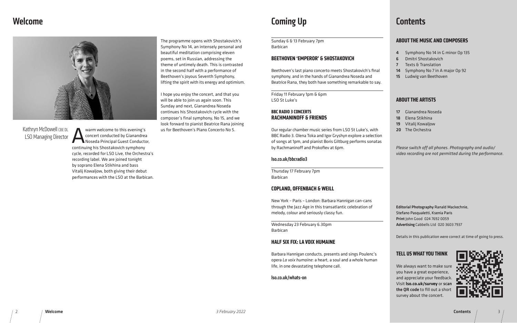## Welcome



Kathryn McDowell CBE DL LSO Managing Director

# Coming Up

e always want to make sure u have a great experience, d appreciate your feedback Visit lso.co.uk/survey or scan the QR code to fill out a short survey about the concert.

# **Contents**

### **ABOUT THE MUSIC AND COMPOSERS**

Symphony No 14 in G minor Op 135 6 Dmitri Shostakovich 7 Texts & Translation Symphony No 7 in A major Op 92 Ludwig van Beethoven

### **ABOUT THE ARTISTS**

Gianandrea Noseda Elena Stikhina Vitalij Kowaljow The Orchestra

*Please switch off all phones. Photography and audio/ video recording are not permitted during the performance.*

itorial Photography Ranald Mackechnie, fano Pasqualetti, Ksenia Paris int John Good 024 7692 0059 vertising Cabbells Ltd 020 3603 7937

tails in this publication were correct at time of going to press.

### **TELL US WHAT YOU THINK**



Contents / 3

Warm welcome to this evening's<br>
concert conducted by Gianandrea<br>
Shosta Principal Guest Conductor<br>
Shosta Principal Guest Conductor concert conducted by Gianandrea Noseda Principal Guest Conductor, continuing his Shostakovich symphony cycle, recorded for LSO Live, the Orchestra's recording label. We are joined tonight by soprano Elena Stikhina and bass Vitalij Kowaljow, both giving their debut performances with the LSO at the Barbican.

| <b>Barbican</b>                                                                                                                                                                                                                    |
|------------------------------------------------------------------------------------------------------------------------------------------------------------------------------------------------------------------------------------|
| <b>BEETHOVEN 'EMPEROR' &amp; SHOSTAKOVICH</b>                                                                                                                                                                                      |
| Beethoven's last piano concerto meets Shostakovich's final<br>symphony, and in the hands of Gianandrea Noseda and<br>Beatrice Rana, they both have something remarkable to say.                                                    |
| Friday 11 February 1pm & 6pm<br>LSO St Luke's                                                                                                                                                                                      |
| <b>BBC RADIO 3 CONCERTS</b><br><b>RACHMANINOFF &amp; FRIENDS</b>                                                                                                                                                                   |
| Our regular chamber music series from LSO St Luke's, with<br>BBC Radio 3. Olena Toka and Igor Gryshyn explore a selection<br>of songs at 1pm, and pianist Boris Giltburg performs sonatas<br>by Rachmaninoff and Prokofiev at 6pm. |
| Iso.co.uk/bbcradio3                                                                                                                                                                                                                |
| Thursday 17 February 7pm<br><b>Barbican</b>                                                                                                                                                                                        |
| <b>COPLAND, OFFENBACH &amp; WEILL</b>                                                                                                                                                                                              |
| New York - Paris - London: Barbara Hannigan can-cans<br>through the Jazz Age in this transatlantic celebration of<br>melody, colour and seriously classy fun.                                                                      |
| Wednesday 23 February 6.30pm<br><b>Barbican</b>                                                                                                                                                                                    |
| <b>HALF SIX FIX: LA VOIX HUMAINE</b>                                                                                                                                                                                               |
| Barbara Hannigan conducts, presents and sings Poulenc's<br>opera La voix humaine: a heart, a soul and a whole human<br>life, in one devastating telephone call.                                                                    |
| Iso.co.uk/whats-on                                                                                                                                                                                                                 |

The programme opens with Shostakovich's Symphony No 14, an intensely personal and beautiful meditation comprising eleven poems, set in Russian, addressing the theme of untimely death. This is contrasted in the second half with a performance of Beethoven's joyous Seventh Symphony, lifting the spirit with its energy and optimism.

I hope you enjoy the concert, and that you will be able to join us again soon. This Sunday and next, Gianandrea Noseda continues his Shostakovich cycle with the composer's final symphony, No 15, and we look forward to pianist Beatrice Rana joining us for Beethoven's Piano Concerto No 5.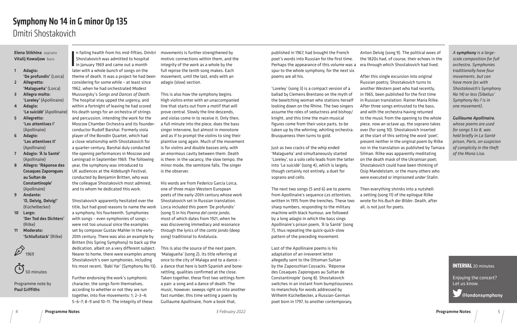### **INTERVAL** 20 minutes

Enjoying the concert? Let us know.

@londonsymphony

In failing health from his mid-fifties, Dn<br>Shostakovich was admitted to hospital<br>in January 1969 and came out a month<br>later with a whole bunch of songs on the n failing health from his mid-fifties, Dmitri Shostakovich was admitted to hospital in January 1969 and came out a month theme of death. It was a project he had been considering for some while – at least since 1962, when he had orchestrated Modest Mussorgsky's *Songs and Dances of Death*. The hospital stay upped the urgency, and within a fortnight of leaving he had scored his death songs for an orchestra of strings and percussion, intending the work for the Moscow Chamber Orchestra and its founderconductor Rudolf Barshai. Formerly viola player of the Borodin Quartet, which had a close relationship with Shostakovich for a quarter-century, Barshai duly conducted the opening performances in Moscow and Leningrad in September 1969. The following year, the symphony was introduced to UK audiences at the Aldeburgh Festival, conducted by Benjamin Britten, who was the colleague Shostakovich most admired, and to whom he dedicated this work.

Shostakovich apparently hesitated over the title, but had good reasons to name the work a symphony, his fourteenth. Symphonies with songs – even symphonies of songs – were not too unusual since the examples set by composer Gustav Mahler in the early-20th century. There was also an example by Britten (his Spring Symphony) to back up the dedication, albeit on a very different subject. Nearer to home, there were examples among Shostakovich's own symphonies, including

Further endorsing the work's symphonic character, the songs form themselves, according to whether or not they are run together, into five movements: 1; 2–3–4; 5–6–7; 8–9 and 10–11. The integrity of these movements is further strengthened by motivic connections within them, and the integrity of the work as a whole by the full reprise the tenth song makes. Each movement, until the last, ends with an adagio (slow) section.

This is also how the symphony begins. High violins enter with an unaccompanied line that starts out from a motif that will prove central. Slowly the line descends, and violas come in to receive it. Only then, a full minute into the piece, does the bass singer intervene, but almost in monotone and as if to prompt the violins to sing their plaintive song again. Much of the movement is for violins and double basses only, with an enormous cavity between them. Death is there: in the vacancy, the slow tempo, the minor mode, the semitone falls. The singer is the observer.

his most recent, 'Babi Yar' (Symphony No 13). a dance that here is both Spanish and bone-This is also the source of the next poem, 'Malagueña' (song 2), its title referring at once to the city of Malaga and to a dance – rattling, qualities confirmed at the close. Taken together, these first two settings form a pair: a song and a dance of death. The music, however, sweeps right on into another fast number, this time setting a poem by Guillaume Apollinaire, from a book that,

His words are from Federico García Lorca, one of three major Western European poets of the early-20th century whose work Shostakovich set in Russian translation. Lorca included this poem 'De profundis' (song 1) in his *Poema del cante jondo*, most of which dates from 1921, when he was discovering immediacy and resonance through the lyrics of the *cante jondo* (deep song) traditional to Andalusia.

### Elena Stikhina soprano Vitalij Kowaljow bass

- 1 Adagio: 'De profundis' (Lorca)
- 2 Allegretto: 'Malagueña' (Lorca)
- 3 Allegro molto: 'Loreley' (Apollinaire)
- 4 Adagio: 'Le suicidé' (Apollinaire)
- 5 Allegretto: 'Les attentives I' (Apollinaire)
- 6 Adagio: 'Les attentives II' (Apollinaire)
- 7 Adagio: 'À la Santé' (Apollinaire)
- 8 Allegro: 'Réponse des Cosaques Zaporogues au Sultan de Constantinople' (Apollinaire)
- 9 Andante: 'O, Delvig, Delvig!' (Küchelbecker)
- 10 Largo: 'Der Tod des Dichters' (Rilke)
- 11 Moderato: 'Schlußstück' (Rilke)

 $\mathscr{D}_{\scriptscriptstyle{1969}}$ 

50 minutes

Programme note by Paul Griffiths

# Dmitri Shostakovich Symphony No 14 in G minor Op 135

published in 1967, had brought the French poet's words into Russian for the first time. Perhaps the appearance of this volume was a spur to the whole symphony, for the next six poems are all his.

'Loreley' (song 3) is a compact version of a ballad by Clemens Brentano on the myth of the bewitching woman who stations herself looking down on the Rhine. The two singers assume the roles of seductress and bishop/ knight, and this time the main musical figures come from their voice parts, to be taken up by the whirring, whirling orchestra. Brusqueness then turns to gold.

Just as two cracks of the whip ended 'Malagueña' and simultaneously started 'Loreley', so a solo cello leads from the latter into 'Le suicidé' (song 4), which is largely, though certainly not entirely, a duet for soprano and cello.

The next two songs (5 and 6) are to poems from Apollinaire's sequence *Les attentives*, written in 1915 from the trenches. These two sharp numbers, responding to the military machine with black humour, are followed by a long adagio in which the bass sings Apollinaire's prison poem, 'À la Santé' (song 7), thus repeating the quick-quick-slow pattern of the preceding movement.

Last of the Apollinaire poems is his adaptation of an irreverent letter allegedly sent to the Ottoman Sultan by the Zaporozhian Cossacks, 'Réponse des Cosaques Zaporogues au Sultan de Constantinople' (song 8). Shostakovich switches in an instant from bumptiousness to melancholy for words addressed by Wilhelm Küchelbecker, a Russian-German poet born in 1797, to another contemporary,

Anton Delvig (song 9). The political woes of the 1820s had, of course, their echoes in the era through which Shostakovich had lived.

After this single excursion into original Russian poetry, Shostakovich turns to another Western poet who had recently, in 1965, been published for the first time in Russian translation: Rainer Maria Rilke. After three songs entrusted to the bass, and with the orchestra having returned to the music from the opening to the whole piece, now an octave up, the soprano takes over (for song 10). Shostakovich inserted at the start of this setting the word 'poet', present neither in the original poem by Rilke nor in the translation as published by Tamara Silman. Rilke was apparently meditating on the death mask of the Ukrainian poet; Shostakovich could have been thinking of Osip Mandelstam, or the many others who were executed or imprisoned under Stalin.

Then everything shrinks into a nutshell: a setting (song 11) of the epilogue Rilke wrote for his *Buch der Bilder*. Death, after all, is not just for poets.

*A symphony is a largescale composition for full orchestra. Symphonies traditionally have four movements, but can have more (as with Shostakovich's Symphony No 14) or less (Sibelius' Symphony No 7 is in one movement).* 

### *Guillaume Apollinaire,*

*whose poems are used for songs 5 to 8, was held briefly in La Santé prison, Paris, on suspicion of complicity in the theft of the Mona Lisa.*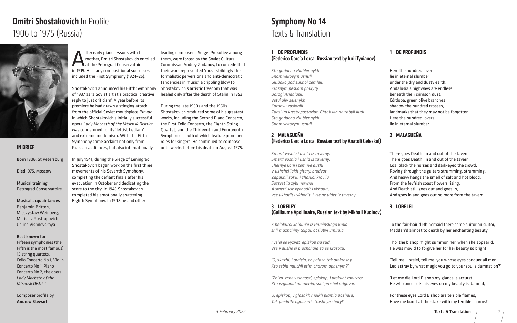# Dmitri Shostakovich In Profile 1906 to 1975 (Russia)



**Alter early piano lessons with his<br>
Alternative model in 1919 His early compositional success**<br>
in 1919 His early compositional success mother, Dmitri Shostakovich enrolled at the Petrograd Conservatoire in 1919. His early compositional successes included the First Symphony (1924–25).

Shostakovich announced his Fifth Symphony of 1937 as 'a Soviet artist's practical creative reply to just criticism'. A year before its premiere he had drawn a stinging attack from the official Soviet mouthpiece *Pravda*, in which Shostakovich's initially successful opera *Lady Macbeth of the Mtsensk District*  was condemned for its 'leftist bedlam' and extreme modernism. With the Fifth Symphony came acclaim not only from Russian audiences, but also internationally.

In July 1941, during the Siege of Leningrad, Shostakovich began work on the first three movements of his Seventh Symphony, completing the defiant finale after his evacuation in October and dedicating the score to the city. In 1943 Shostakovich completed his emotionally shattering Eighth Symphony. In 1948 he and other

leading composers, Sergei Prokofiev among them, were forced by the Soviet Cultural Commissar, Andrey Zhdanov, to concede that their work represented 'most strikingly the formalistic perversions and anti-democratic tendencies in music', a crippling blow to Shostakovich's artistic freedom that was healed only after the death of Stalin in 1953.

During the late 1950s and the 1960s Shostakovich produced some of his greatest works, including the Second Piano Concerto, the First Cello Concerto, the Eighth String Quartet, and the Thirteenth and Fourteenth Symphonies, both of which feature prominent roles for singers. He continued to compose until weeks before his death in August 1975.

### **1 DE PROFUNDIS**  (Federico García Lorca, Russian text by Iurii Tynianov)

# *Sto goriacho vliublennykh Snom vekovym usnuli*

*Gluboko pod sukhoi zemleiu. Krasnym peskom pokryty Dorogi Andalusii. Vetvi oliv zelenykh Kordovu zaslonili. Zdes' im kresty postaviat, Chtob ikh ne zabyli liudi. Sto goriacho vliublennykh Snom vekovym usnuli.*

### **2 MALAGUEÑA**  (Federico García Lorca, Russian text by Anatoli Geleskul)

*Smert' voshla i ushla iz taverny. Smert' voshla i ushla iz taverny. Chernye koni i temnye dushi V ushchel'iakh gitary, brodyat. Zapakhli sol'iu i zharkoi krov'iu Sotsvet'ia zybi nervnoi A smert' vse vykhodit i vkhodit, Vse ukhodit i vkhodit. I vse ne uidet iz taverny.*

### **3 LORELEY**  (Guillaume Apollinaire, Russian text by Mikhail Kudinov)

| K belokuroi koldun'e iz Prireinskogo kraia            | To the fa |
|-------------------------------------------------------|-----------|
| shli muzhchiny tolpoi, ot liubvi umiraia.             | Madden    |
| I velel ee vyzvat' episkop na sud,                    | Tho' the  |
| Vse v dushe ei proshchaia za ee krasotu.              | He was r  |
| 'O, skazhi, Loreleia, chy glaza tak prekrasny,        | 'Tell me, |
| Kto tebia nauchil etim charam opasnym?'               | Led astr  |
| 'Zhizn' mne v tiagost', episkop, i prokliat moi vzor. | 'Let me   |
| Kto vzglianul na menia, svoi prochel prigovor.        | He who    |
| O, episkop, v glazakh moikh plamia pozhara,           | For thes  |

*Tak predaite ogniu eti strashnye chary!'*

### **1 DE PROFUNDIS**

- Here the hundred lovers lie in eternal slumber under the dry and dusty earth. Andalusia's highways are endless beneath their crimson dust. Córdoba, green olive branches
- shadow the hundred crosses,
- landmarks that they may not be forgotten.
- Here the hundred lovers
- lie in eternal slumber.

### **2 MALAGUEÑA**

### **3 LORELEI**

- There goes Death! In and out of the tavern.
- There goes Death! In and out of the tavern.
- Coal black the horses and dark-eyed the crowd,
- Roving through the guitars strumming, strumming.
- And heavy hangs the smell of salt and hot blood,
- From the fev'rish coast flowers rising.
- And Death still goes out and goes in,
- And goes in and goes out no more from the tavern.
	- air-hair'd Rhinemaid there came suitor on suitor, 'd almost to death by her enchanting beauty.
	- bishop might summon her, when she appear'd, mov'd to forgive her for her beauty so bright.
	- Lorelei, tell me, you whose eyes conquer all men, ay by what magic you go to your soul's damnation?'
	- die Lord Bishop my glance is accurst. once sets his eyes on my beauty is damn'd,
- e eyes Lord Bishop are terrible flames, Have me burnt at the stake with my terrible charms!'

# Texts & Translation Symphony No 14

### **IN BRIEF**

Born 1906, St Petersburg

Died 1975, Moscow

Musical training Petrograd Conservatoire

Musical acquaintances Benjamin Britten, Mieczysław Weinberg, Mstislav Rostropovich, Galina Vishnevskaya

### Best known for

Fifteen symphonies (the Fifth is the most famous), 15 string quartets, Cello Concerto No 1, Violin Concerto No 1, Piano Concerto No 2, the opera *Lady Macbeth of the Mtsensk District*

Composer profile by Andrew Stewart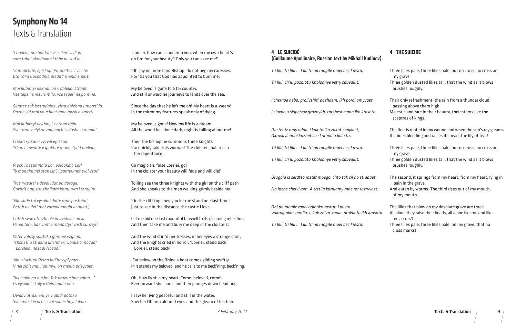8 Texts & Translation Texts & Translation 9

*'*Lorelei, how can I condemn you, when my own heart's on fire for your beauty? Only you can save me!'

'Oh say no more Lord Bishop, do not beg my caresses, For 'tis you that God has appointed to burn me.

My beloved is gone to a far country, And still onward he journeys to lands over the sea.

Since the day that he left me oh! My heart is a-weary! In the mirror my features speak only of dying.

My beloved is gone! Now my life is a dream. All the world has done dark, night is falling about me!'

Then the bishop he summons three knights 'Go quickly take this woman! The cloister shall teach her repentance.

Go magician, false Lorelei, go! In the cloister your beauty will fade and will die!'

Toiling see the three knights with the girl on the cliff path And she speaks to the men walking grimly beside her:

'On the cliff top I beg you let me stand one last time! Just to see in the distance the castle I love.

Let me bid one last mournful farewell to its gleaming reflection, And then take me and bury me deep in the cloisters.'

And the wind stirr'd her tresses, in her eyes a strange glint, And the knights cried in horror: 'Lorelei, stand back! Lorelei, stand back!'

'Far below on the Rhine a boat comes gliding swiftly. In it stands my beloved, and he calls to me beck'ning, beck'ning.

Oh! How light is my heart! Come, beloved, come!' Ever forward she leans and then plunges down headlong.

I saw her lying peaceful and still in the water, Saw her Rhine-coloured eyes and the gleam of her hair.

*'Loreleia, pozhar tvoi vsesilen: ved' ia sam toboi okoldovan i tebe ne sud'ia.'*

*'Zamolchite, episkop! Pomolites' i ver'te: Eto volia Gospodnia predat' menia smerti.*

*Moi liubimyi uekhal, on v dalekoi strane. Vse teper' mne ne milo, vse teper' ne po mne.*

*Serdtse tak isstradalos', chto dolzhna umeret' ia. Dazhe vid moi vnushaet mne mysli o smerti.*

*Moi liubimyi uekhal, i s etogo dnia Svet mne belyi ne mil, noch' v dushe u menia.'*

*I trekh rytsarei vyzval episkop: 'Skoree uvedite v glukhoi monastyr' Loreleiu.*

*Proch', bezumnaia Lor, volookaia Lor! Ty monakhinei stanesh', i pomerknet tvoi vzor.'*

*Troe rytsarei s devoi idut po doroge. Govorit ona strazhnikam khmurym i strogim:*

*'Na skale toi vysokoi daite mne postoiat', Chtob uvidet' moi zamok mogla ia opiat',*

*Chtob svoe otrazhen'e ia uvidela snova, Pered tem, kak voiti v monastyr' vash surovyi.'*

*Veter volosy sputal, i gorit ee vzgliad, Tshchetno strazha krichit ei: 'Loreleia, nazad! Loreleia, nazad! Nazad!'*

*'Na izluchinu Reina lad'ia vyplyvaet, V nei sidit moi liubimyi, on menia prizyvaet.*

*Tak legko na dushe. Tak prozrachna volna …' I s vysokoi skaly v Rein upala ona.*

*Uvidav otrazhennye v gladi potoka Svoi reinskie ochi, svoi solnechnyi lokon.*

# Texts & Translation Symphony No 14

### **4 THE SUICIDE**

Three lilies pale, three lilies pale, but no cross, no cross on

my grave,

Three golden dusted lilies tall, that the wind as it blows brushes roughly,

Their only refreshment, the rain from a thunder cloud passing above them high,

Majestic and rare in their beauty, their stems like the

sceptres of kings.

The first is rooted in my wound and when the sun's ray gleams It shines bleeding and raises its head, the lily of fear!

Three lilies pale, three lilies pale, but no cross, no cross on

Three golden dusted lilies tall, that the wind as it blows

 my grave. brushes roughly.

The second, it springs from my heart, from my heart, lying in pain in the grave,

And eaten by worms. The third rises out of my mouth, of my mouth.

The lilies that blow on my desolate grave are three. All alone they raise their heads, all alone like me and like

 me accurs't. cross marks!

Three lilies pale, three lilies pale, on my grave, that no

# **4 LE SUICIDÉ** (Guillaume Apollinaire, Russian text by Mikhail Kudinov) *Tri lilii, tri lilii … Lilii tri na mogile moei bez kresta, Tri lilii, ch'iu pozolotu kholodnye vetry sduvaiut, I chernoe nebo, prolivshis' dozhdem, ikh poroi omyvaet, I slovno u skipetrov groznykh, torzhestvenna ikh krasota. Rastet iz rany odna, i kak tol'ko zakat zapylaet, Okrovavlennoi kazhetsia skorbnaia liliia ta. Tri lilii, tri lilii … Lilii tri na mogile moei bez kresta. Tri lilii, ch'iu pozolotu kholodnye vetry sduvaiut.*

*Drugaia iz serdtsa rastet moego, chto tak sil'no stradaet,*

*Na lozhe chervivom. A tret'ia korniamy mne rot razryvaet.*

*Oni na mogile moei odinoko rastut, i pusta. Vokrug nikh zemlia, i, kak zhizn' moia, prokliata ikh krasota. Tri lilii, tri lilii … Lilii tri na mogile moei bez kresta.*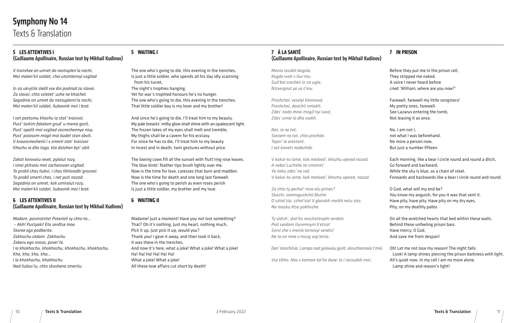### **5 WAITING I**

The one who's going to die, this evening in the trenches, Is just a little soldier, who spends all his day idly scanning from his turret, The night's trophies hanging, Yet for war's trophied honours he's no hunger. The one who's going to die, this evening in the trenches, That little soldier boy is my lover and my brother!

And since he's going to die, I'll treat him to my beauty. My pale breasts' milky glow shall shine with an opalescent light. The frozen lakes of my eyes shall melt and tremble, My thighs shall be a cavern for his ecstasy. For since he has to die, I'll treat him to my beauty. In incest and in death, twin gestures without price.

The lowing cows fill all the sunset with flutt'ring rose leaves. The blue birds' feather tips brush lightly over me. Now is the time for love, caresses that burn and madden. Now is the time for death and one long last farewell. The one who's going to perish as even roses perish Is just a little soldier, my brother and my love.

### **6 WAITING II**

Madame! Just a moment! Have you not lost something? That? Oh it's nothing. Just my heart, nothing much, Pick it up, just pick it up, would you? Thank you! I gave it away, and then took it back, It was there in the trenches, And now it's here, what a joke! What a joke! What a joke! Ha! Ha! Ha! Ha! Ha! Ha! What a joke! What a joke! All these love affairs cut short by death!

### **5 LES ATTENTIVES I** (Guillaume Apollinaire, Russian text by Mikhail Kudinov)

*V transhee on umret do nastuplen'ia nochi, Moi malen'kii soldat, chei utomlennyi vzgliad*

*Iz-za ukrytiia sledil vse dni podriad za slavoi. Za slavoi, chto vzletet' uzhe ne khochet. Segodnia on umret do nastuplenn'ia nochi, Moi malen'kii soldat, liubovnik moi i brat.*

*I vot poetomu khochu ia stat' krasivoi. Pust' iarkim fakelom grud' u menia gorit, Pust' opalit moi vzgliad zasnezhennye nivy, Pust' poiasom mogil moi budet stan obvit. V krovosmeshenii i v smerti stat' krasivoi Khochu ia dlia togo, kto dolzhen byt' ubit.*

*Zakat korovoiu revet, pylaiut rozy, I sinei ptitseiu moi zacharovan vzgliad. To probil chas liubvi, i chas likhoradki groznoi. To probil smerti chas, i net puti nazad. Segodnia on umret, kak umiraiut rozy, Moi malen'kii soldat, liubovnik moi i brat.*

### **6 LES ATTENTIVES II** (Guillaume Apollinaire, Russian text by Mikhail Kudinov)

*Madam, posmotrite! Poteriali vy chto-to… – Akh! Pustyaki! Eto serdtse moe. Skoree ego podberite. Zakhochu otdam. Zakhochu Zaberu ego snova, pover'te. I ia khokhochu, khokhochu, khokhochu, khokhochu, Kha, kha, kha, kha... I ia khokhochu, khokhochu Nad liubov'iu, chto skoshena smertiu.*

# Symphony No 14 Texts & Translation

### **7 À LA SANTÉ**  (Guillaume Apollinaire, Russian text by Mikhail Kudinov)

*Menia razdeli dogola, Kogda vveli v tiur'mu. Sud'boi srazhen iz-za ugla, Nizvergnut ya vo t'mu.*

*Proshchai, veselyi khorovod, Proshchai, devichii smiakh. Zdes' nado mnoi mogil'nyi svod, Zdes' umer ia dlia vsekh.*

*Net, ia ne tot, Sovsem ne tot, chto prezhde. Teper' ia arestant, I vot konets nadezhde.*

*V kakoi-to iame, kak medved', khozhu vpered nazad, A nebo! Luchshe ne smotret'. Ya nebu zdes' ne rad. V kakoi-to iame, kak medved', khozhu vpered, nazad.*

*Za chto ty pechal' mne etu prines? Skazhi, vsemogushchii Bozhe. O szhal'sia, szhal'sia! V glazakh moikh netu slez, Na masku litso pokhozhe.*

*Ty vidish', skol'ko neschastnykh serdets Pod svodom tiuremnym b'etsia! Sorvi zhe s menia ternovyi venets! Ne to on mne v mozg vop'etsia.*

*Den' konchilsia. Lampa nad golovoiu gorit, okruzhennaia t'moi.*

*Vse tikho. Nas v kamere tol'ko dvoe: Ia i rassudok moi.*

### **7 IN PRISON**

They stripped me naked.

- Before they put me in the prison cell,
	-
- A voice I never heard before
- cried 'William, where are you now?'

Farewell, farewell my little songsters! My pretty ones, farewell. See Lazarus entering the tomb, Not leaving it as once.

No, I am not I,

not what I was beforehand. No more a person now,

But just a number fifteen.

Each morning, like a bear I circle round and round a ditch, Go forward and backward, While the sky is blue, as a chain of steel. Forwards and backwards like a bear I circle round and round.

O God, what will my end be? You know my anguish, for you it was that sent it. Have pity, have pity. Have pity on my dry eyes, Pity, on my deathly pallor.

On all the wretched hearts that bed within these walls, Behind these unfeeling prison bars. Have mercy, O God, And save me from despair!

Oh! Let me not lose my reason! The night falls. Look! A lamp shines piercing the prison darkness with light. All's quiet now. In my cell I am no more alone. Lamp shine and reason's light!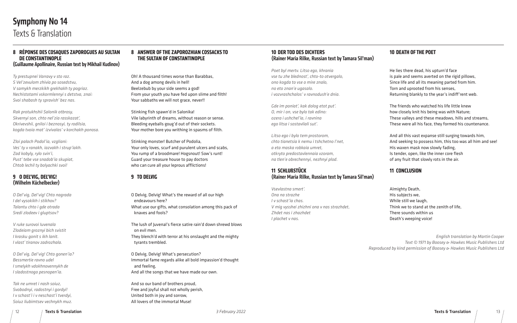### **10 DEATH OF THE POET**

He lies there dead, his upturn'd face is pale and seems averted on the rigid pillows, Since life and all its meaning parted from him. Torn and uprooted from his senses, Returning blankly to the year's indiff'rent web.

The friends who watched his life little knew how closely knit his being was with Nature; These valleys and these meadows, hills and streams, These were all his face, they formed his countenance.

And all this vast expanse still surging towards him, And seeking to possess him, this too was all him and see! His waxen mask now slowly fading, Is tender, open, like the inner core flesh of any fruit that slowly rots in the air.

### **11 CONCLUSION**

Almighty Death, His subjects we, While still we laugh,

Think we to stand at the zenith of life, There sounds within us Death's weeping voice!

### **10 DER TOD DES DICHTERS** (Rainer Maria Rilke, Russian text by Tamara Sil'man)

*Poet byl mertv. Litso ego, khrania vse tu zhe blednost', chto-to otvergalo, ono kogda to vse o mire znalo, no eto znan'e ugasalo. i vozvrashchalos' v ravnodush'e dnia.*

*Gde im poniat', kak dolog etot put'. O, mir i on, vse bylo tak edino: ozera i ushchel'ia, i ravnina ego litsa i sostavliali sut'.*

*Litso ego i bylo tem prostorom, chto tianetsia k nemu i tshchetno l'net, a eta maska robkaia umret, otkryto predostavlennaia vzoram, na tlen'e obrechennyi, nezhnyi plod.*

### **11 SCHLUßSTÜCK** (Rainer Maria Rilke, Russian text by Tamara Sil'man)

*Vsevlastna smert'. Ona na strazhe I v schast'ia chas. V mig vysshei zhizhni ona v nas strazhdet, Zhdet nas i zhazhdet I plachet v nas.*

# Texts & Translation Symphony No 14

### **8 ANSWER OF THE ZAPOROZHIAN COSSACKS TO THE SULTAN OF CONSTANTINOPLE**

Oh! A thousand times worse than Barabbas, And a dog among devils in hell! Beelzebub by your side seems a god! From your youth you have fed upon slime and filth! Your sabbaths we will not grace, never!!

Stinking fish spawn'd in Salonika! Vile labyrinth of dreams, without reason or sense. Bleeding eyeballs goug'd out of their sockets. Your mother bore you writhing in spasms of filth.

Stinking monster! Butcher of Podolia, Your only loves, scurf and purulent ulcers and scabs, You rump of a broodmare! Hogsnout! Sow's runt! Guard your treasure house to pay doctors who can cure all your leprous afflictions!

### **9 TO DELVIG**

O Delvig, Delvig! What's the reward of all our high endeavours here? What use our gifts, what consolation among this pack of knaves and fools?

The lush of Juvenal's fierce satire rain'd down shrewd blows on evil men. They blench'd with terror at his onslaught and the mighty tyrants trembled.

O Delvig, Delvig! What's persecution? Immortal fame regards alike all bold impassion'd thought and feeling, And all the songs that we have made our own.

And so our band of brothers proud, Free and joyful shall not wholly perish, United both in joy and sorrow, All lovers of the immortal Muse!

### **8 RÉPONSE DES COSAQUES ZAPOROGUES AU SULTAN DE CONSTANTINOPLE** (Guillaume Apollinaire, Russian text by Mikhail Kudinov)

*Ty prestupnei Varravy v sto raz. S Vel'zevulom zhivia po sosedstvu, V samykh merzkikh grekhakh ty pogriaz. Nechistotami vskormlennyi s detstva, znai: Svoi shabash ty spravish' bez nas.*

*Rak protukhshii Salonik otbrosy, Skvernyi son, chto nel'zia rasskazat', Okrivevshii, gniloi i beznosyi, ty rodilsia, kogda tvoia mat' izvivalas' v korchakh ponosa.*

*Zloi palach Podol'ia, vzgliani: Ves' ty v ranakh, iazvakh i strup'iakh. Zad kobyly, rylo svin'i, Pust' tebe vse snadob'ia skupiat, Chtob lechil ty bolyachki svoi!*

### **9 O DEL'VIG, DEL'VIG!** (Wilhelm Küchelbecker)

*O Del'vig, Del'vig! Chto nagrada I del vysokikh i stikhov? Talantu chto i gde otrada Sredi zlodeev i gluptsov?*

*V ruke surovoi Iuvenala Zlodeiam groznyi bich svistit I krasku gonit s ikh lanit. I vlast' tiranov zadrozhala.*

*O Del'vig, Del'vig! Chto gonen'ia? Bessmertie ravno udel I smelykh vdokhnovennykh de I sladostnogo pesnopen'ia.*

*Tak ne umret i nash soiuz, Svobodnyi, radostnyi i gordyi! I v schast'i i v neschast'i tverdyi, Soiuz liubimtsev vechnykh muz.*

*English translation by Martin Cooper Text © 1971 by Boosey & Hawkes Music Publishers Ltd Reproduced by kind permission of Boosey & Hawkes Music Publishers Ltd*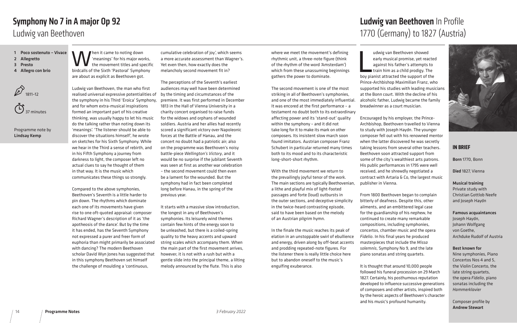Wen it came to noting down<br>the movement titles and sphirtcalls of the Sixth 'Pasteral' Symphon 'meanings' for his major works, the movement titles and specific birdcalls of the Sixth 'Pastoral' Symphony are about as explicit as Beethoven got.

Ludwig van Beethoven, the man who first realised universal expressive potentialities of the symphony in his Third 'Eroica' Symphony, and for whom extra-musical inspirations formed an important part of his creative thinking, was usually happy to let his music do the talking rather than noting down its 'meanings'. 'The listener should be able to discover the situations himself', he wrote on sketches for his Sixth Symphony. While we hear in the Third a sense of rebirth, and in his Fifth Symphony a journey from darkness to light, the composer left no actual clues to say he thought of them in that way. It is the music which communicates these things so strongly.

Compared to the above symphonies, Beethoven's Seventh is a little harder to pin down. The rhythms which dominate each one of its movements have given rise to one oft-quoted appraisal: composer Richard Wagner's description of it as 'the apotheosis of the dance'. But by the time it has ended, has the Seventh Symphony not expressed a purer and freer form of euphoria than might primarily be associated with dancing? The modern Beethoven scholar David Wyn Jones has suggested that in this symphony Beethoven set himself the challenge of moulding a 'continuous,

cumulative celebration of joy', which seems a more accurate assessment than Wagner's. Yet even then, how exactly does the melancholy second movement fit in?

# 1770 (Germany) to 1827 (Austria) Ludwig van Beethoven In Profile



udwig van Beethoven showed<br>early musical promise, yet reacted<br>against his father's attempts to<br>train him as a child prodigy. The<br>boy pianist attracted the support of the udwig van Beethoven showed early musical promise, yet reacted against his father's attempts to train him as a child prodigy. The Prince-Archbishop Maximilian Franz, who supported his studies with leading musicians at the Bonn court. With the decline of his alcoholic father, Ludwig became the family breadwinner as a court musician.

The perceptions of the Seventh's earliest audiences may well have been determined by the timing and circumstances of the premiere. It was first performed in December 1813 in the Hall of Vienna University in a charity concert organised to raise funds for the widows and orphans of wounded soldiers. Austria and her allies had recently scored a significant victory over Napoleonic forces at the Battle of Hanau, and the concert no doubt had a patriotic air; also on the programme was Beethoven's noisy battle-piece *Wellington's Victory*, and it would be no surprise if the jubilant Seventh was seen at first as another war celebration – the second movement could then even be a lament for the wounded. But the symphony had in fact been completed long before Hanau, in the spring of the previous year.

It starts with a massive slow introduction, the longest in any of Beethoven's symphonies. Its leisurely wind themes contain few hints of the energy soon to be unleashed, but there is a coiled-spring quality to the heavy accents and upward string scales which accompany them. When the main part of the first movement arrives, however, it is not with a rush but with a gentle slide into the principal theme, a lilting melody announced by the flute. This is also

- 1 Poco sostenuto Vivace
- 2 Allegretto
- 3 Presto
- 4 Allegro con brio





Programme note by Lindsay Kemp

# Ludwig van Beethoven Symphony No 7 in A major Op 92

### **IN BRIEF**

Born 1770, Bonn

Died 1827, Vienna

### Musical training

Private study with Christian Gottlob Neefe and Joseph Haydn

### Famous acquaintances Joseph Haydn,

Johann Wolfgang von Goethe, Archduke Rudolf of Austria

### Best known for

Nine symphonies, Piano Concertos Nos 4 and 5, the Violin Concerto, the late string quartets, the opera *Fidelio*, piano sonatas including the *Hammerklavier*

Composer profile by Andrew Stewart

Encouraged by his employer, the Prince-Archbishop, Beethoven travelled to Vienna to study with Joseph Haydn. The younger composer fell out with his renowned mentor when the latter discovered he was secretly taking lessons from several other teachers. Beethoven soon attracted support from some of the city's wealthiest arts patrons. His public performances in 1795 were well received, and he shrewdly negotiated a contract with Artaria & Co, the largest music publisher in Vienna.

From 1800 Beethoven began to complain bitterly of deafness. Despite this, other ailments, and an embittered legal case for the guardianship of his nephew, he continued to create many remarkable compositions, including symphonies, concertos, chamber music and the opera *Fidelio*. In his final years he produced masterpieces that include the *Missa solemnis*, Symphony No 9, and the late piano sonatas and string quartets.

It is thought that around 10,000 people followed his funeral procession on 29 March 1827. Certainly, his posthumous reputation developed to influence successive generations of composers and other artists, inspired both by the heroic aspects of Beethoven's character and his music's profound humanity.

where we meet the movement's defining rhythmic unit, a three-note figure (think of the rhythm of the word 'Amsterdam') which from these unassuming beginnings gathers the power to dominate.

The second movement is one of the most striking in all of Beethoven's symphonies, and one of the most immediately influential. It was encored at the first performance – a testament no doubt both to its extraordinary affecting power and its 'stand-out' quality within the symphony – and it did not take long for it to make its mark on other composers. Its insistent slow march soon found imitators. Austrian composer Franz Schubert in particular returned many times both to its mood and to its characteristic long-short-short rhythm.

With the third movement we return to the prevailingly joyful tenor of the work. The main sections are typically Beethovenian, a lithe and playful mix of light-footed passages and forte (loud) outbursts in the outer sections, and deceptive simplicity in the twice-heard contrasting episode, said to have been based on the melody of an Austrian pilgrim hymn.

In the finale the music reaches its peak of elation in an unstoppable swirl of ebullience and energy, driven along by off-beat accents and prodding repeated-note figures. For the listener there is really little choice here but to abandon oneself to the music's engulfing exuberance.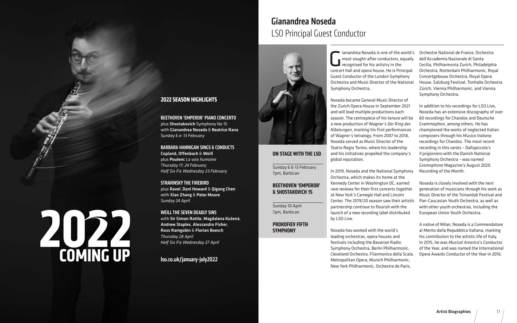Gianandrea Noseda is one of the world's<br>
most sought-after conductors, equally<br>
recognised for his artistry in the<br>
concert ball and onera bouse. He is Principal most sought-after conductors, equally recognised for his artistry in the concert hall and opera house. He is Principa Guest Conductor of the London Symphony Orchestra and Music Director of the Nation Symphony Orchestra.

Noseda became General Music Director of the Zurich Opera House in September 2021 and will lead multiple productions each season. The centrepiece of his tenure will b a new production of Wagner's *Der Ring des Nibelungen*, marking his first performances of Wagner's tetralogy. From 2007 to 2018, Noseda served as Music Director of the Teatro Regio Torino, where his leadership and his initiatives propelled the company's global reputation.

In 2019, Noseda and the National Symphor Orchestra, which makes its home at the Kennedy Center in Washington DC, earned rave reviews for their first concerts togethe at New York's Carnegie Hall and Lincoln Center. The 2019/20 season saw their artist partnership continue to flourish with the launch of a new recording label distributed by LSO Live.

Noseda has worked with the world's leading orchestras, opera houses and festivals including the Bavarian Radio Symphony Orchestra, Berlin Philharmonic, Cleveland Orchestra, Filarmonica della Scala, Metropolitan Opera, Munich Philharmonic, New York Philharmonic, Orchestre de Paris,

| ďs<br>lly<br>al<br>al | Orchestre National de France, Orchestra<br>dell'Accademia Nazionale di Santa<br>Cecilia, Philharmonia Zurich, Philadelphia<br>Orchestra, Rotterdam Philharmonic, Royal<br>Concertgebouw Orchestra, Royal Opera<br>House, Salzburg Festival, Tonhalle Orchestra<br>Zürich, Vienna Philharmonic, and Vienna<br>Symphony Orchestra.                       |
|-----------------------|--------------------------------------------------------------------------------------------------------------------------------------------------------------------------------------------------------------------------------------------------------------------------------------------------------------------------------------------------------|
| эe<br>s               | In addition to his recordings for LSO Live,<br>Noseda has an extensive discography of over<br>60 recordings for Chandos and Deutsche<br>Grammophon, among others. He has<br>championed the works of neglected Italian<br>composers through his Musica Italiana<br>recordings for Chandos. The most recent<br>recording in this series - Dallapiccola's |
| 5<br>٦y               | Il prigioniero with the Danish National<br>Symphony Orchestra - was named<br>Gramophone Magazine's August 2020<br>Recording of the Month.                                                                                                                                                                                                              |
| ۹ŕ<br>tic             | Noseda is closely involved with the next<br>generation of musicians through his work as<br>Music Director of the Tsinandali Festival and<br>Pan-Caucasian Youth Orchestra, as well as<br>with other youth orchestras, including the<br>European Union Youth Orchestra.                                                                                 |
|                       | A native of Milan, Noseda is a Commendatore<br>al Merito della Repubblica Italiana, marking<br>his contribution to the artistic life of Italy.<br>In 2015, he was Musical America's Conductor<br>of the Year, and was named the International                                                                                                          |

Opera Awards Conductor of the Year in 2016.

### **ON STAGE WITH THE LSO**

Sunday 6 & 13 February 7pm, Barbican

### **BEETHOVEN 'EMPEROR' & SHOSTAKOVICH 15**

Sunday 10 April 7pm, Barbican

**PROKOFIEV FIFTH SYMPHONY**

# LSO Principal Guest Conductor Gianandrea Noseda



### **2022 SEASON HIGHLIGHTS**

BEETHOVEN 'EMPEROR' PIANO CONCERTO plus Shostakovich Symphony No 15 with Gianandrea Noseda & Beatrice Rana *Sunday 6 & 13 February*

BARBARA HANNIGAN SINGS & CONDUCTS Copland, Offenbach & Weill plus Poulenc *La voix humaine Thursday 17; 24 February Half Six Fix Wednesday 23 February*

STRAVINSKY THE FIREBIRD plus Ravel, Dani Howard & Qigang Chen with Xian Zhang & Peter Moore *Sunday 24 April*

WEILL THE SEVEN DEADLY SINS with Sir Simon Rattle, Magdalena Kožená, Andrew Staples, Alessandro Fisher, Ross Ramgobin & Florian Boesch *Thursday 28 April Half Six Fix Wednesday 27 April*

lso.co.uk/january-july2022

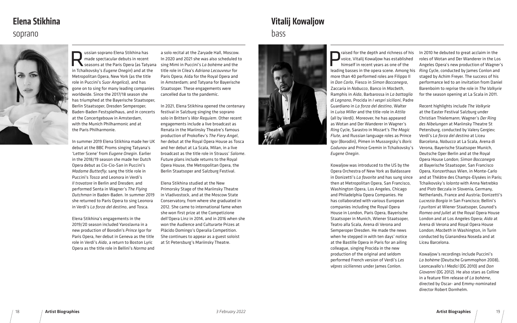raised for the depth and richness of his voice, Vitalij Kowaljow has established himself in recent years as one of the leading basses in the opera scene. Among his more than 40 performed roles are Filippo II in *Don Carlo*, Fiesco in *Simon Boccanegra*, Zaccaria in *Nabucco*, Banco in *Macbeth*, Ramphis in *Aida*, Barbarossa in *La battaglia di Legnano*, Procida in *I vespri siciliani*, Padre Guardiano in *La forza del destino*, Walter in *Luisa Miller* and the title-role in *Attila*  (all by Verdi). Moreover, he has appeared as Wotan and Der Wanderer in Wagner's *Ring* Cycle, Sarastro in Mozart's *The Magic Flute*, and Russian language roles as Prince Igor (Borodin), Pimen in Mussorgsky's *Boris Godunov* and Prince Gremin in Tchaikovsky's *Eugene Onegin*. Kowaljow was introduced to the US by the Opera Orchestra of New York as Baldassare in Donizetti's *La favorite* and has sung since then at Metropolitan Opera, San Francisco, Washington Opera, Los Angeles, Chicago and Philadelphia Opera Companies. He has collaborated with various European companies including the Royal Opera House in London, Paris Opera, Bayerische Staatsoper in Munich, Wiener Staatsoper, Teatro alla Scala, Arena di Verona and Semperoper Dresden. He made the news when he stepped in with ten days' notice at the Bastille Opera in Paris for an ailing colleague, singing Procida in the new In 2010 he debuted to great acclaim in the roles of Wotan and Der Wanderer in the Los Angeles Opera's new production of Wagner's *Ring* Cycle, conducted by James Conlon and staged by Achim Freyer. The success of his performance led to an invitation from Daniel Barenboim to reprise the role in *The Valkyrie* for the season opening at La Scala in 2011. Recent highlights include *The Valkyrie* at the Easter Festival Salzburg under Christian Thielemann; Wagner's *Der Ring des Nibelungen* at Mariinsky Theatre St Petersburg, conducted by Valery Gergiev; Verdi's *La forza del destino* at Liceu Barcelona, *Nabucco* at La Scala, Arena di Verona, Bayerische Staatsoper Munich, Deutsche Oper Berlin and at the Royal Opera House London; *Simon Boccanegra* at Bayerische Staatsoper, San Francisco Opera, Konzerthaus Wien, in Monte-Carlo and at Théâtre des Champs-Elysées in Paris; Tchaikovsky's *Iolanta* with Anna Netrebko and Piotr Beczala in Slovenia, Germany, Netherlands, France and Austria; Donizetti's *Lucrezia Borgia* in San Francisco; Bellini's *I puritani* at Wiener Staatsoper, Gounod's *Romeo and Juliet* at the Royal Opera House London and at Los Angeles Opera; *Aida* at Arena di Verona and Royal Opera House London; *Macbeth* in Washington, in Turin conducted by Gianandrea Noseda and at Liceu Barcelona.

Ussian soprano Elena Stikhina has<br>
made spectacular debuts in recent<br>
seasons at the Paris Opera (as Taty<br>
in Tchaikovsky's Eugene Opegin) and at the made spectacular debuts in recent seasons at the Paris Opera (as Tatyana in Tchaikovsky's *Eugene Onegin*) and at the Metropolitan Opera, New York (as the title role in Puccini's *Suor Angelica*), and has gone on to sing for many leading companies worldwide. Since the 2017/18 season she has triumphed at the Bayerische Staatsoper, Berlin Staatsoper, Dresden Semperoper, Baden-Baden Festspielhaus, and in concerts at the Concertgebouw in Amsterdam, with the Munich Philharmonic and at the Paris Philharmonie.

production of the original and seldom performed French version of Verdi's *Les vêpres siciliennes* under James Conlon. Kowaljow's recordings include Puccini's *La bohème* (Deutsche Grammophon 2008), Leoncavallo's *I Medici* (DG 2010) and *Don* 

*Giovanni* (DG 2012). He also stars as Colline in a feature film release of *La bohème*, directed by Oscar- and Emmy-nominated director Robert Dornhelm.

In summer 2019 Elena Stikhina made her UK debut at the BBC Proms singing Tatyana's 'Letter Scene' from *Eugene Onegin*. Earlier in the 2018/19 season she made her Dutch Opera debut as Cio-Cio-San in Puccini's *Madame Butterfly*; sang the title role in Puccini's *Tosca* and Leonora in Verdi's *Il trovatore* in Berlin and Dresden; and performed Senta in Wagner's *The Flying Dutchman* in Baden-Baden. In summer 2019 she returned to Paris Opera to sing Leonora in Verdi's *La forza del destino*, and Tosca.

Elena Stikhina's engagements in the 2019/20 season included Yaroslavna in a new production of Borodin's *Prince Igor* for Paris Opera, her debut in Geneva as the title role in Verdi's *Aida*, a return to Boston Lyric Opera as the title role in Bellini's *Norma* and

a solo recital at the Zaryade Hall, Moscow. In 2020 and 2021 she was also scheduled to sing Mimì in Puccini's *La bohème* and the title role in Cilea's *Adriana Lecouvreur* for Paris Opera; Aida for the Royal Opera and in Amsterdam; and Tatyana for Bayerische Staatsoper. These engagements were cancelled due to the pandemic.

In 2021, Elena Stikhina opened the centenary festival in Salzburg singing the soprano solo in Britten's *War Requiem*. Other recent engagements include a live broadcast as Renata in the Mariinsky Theatre's famous production of Prokofiev's *The Fiery Angel*, her debut at the Royal Opera House as Tosca and her debut at La Scala, Milan, in a live broadcast as the title role in Strauss' *Salome*. Future plans include returns to the Royal Opera House, the Metropolitan Opera, the Berlin Staatsoper and Salzburg Festival.

Elena Stikhina studied at the New Primorsky Stage of the Mariinsky Theatre in Vladivostock, and at the Moscow State Conservatory, from where she graduated in 2012. She came to international fame when she won first prize at the Competizione dell'Opera Linz in 2014, and in 2016 when she won the Audience and Culturarte Prizes at Plácido Domingo's Operalia Competition. She continues to appear as a guest soloist at St Petersburg's Mariinsky Theatre.



# bass Vitalij Kowaljow



### soprano

# Elena Stikhina